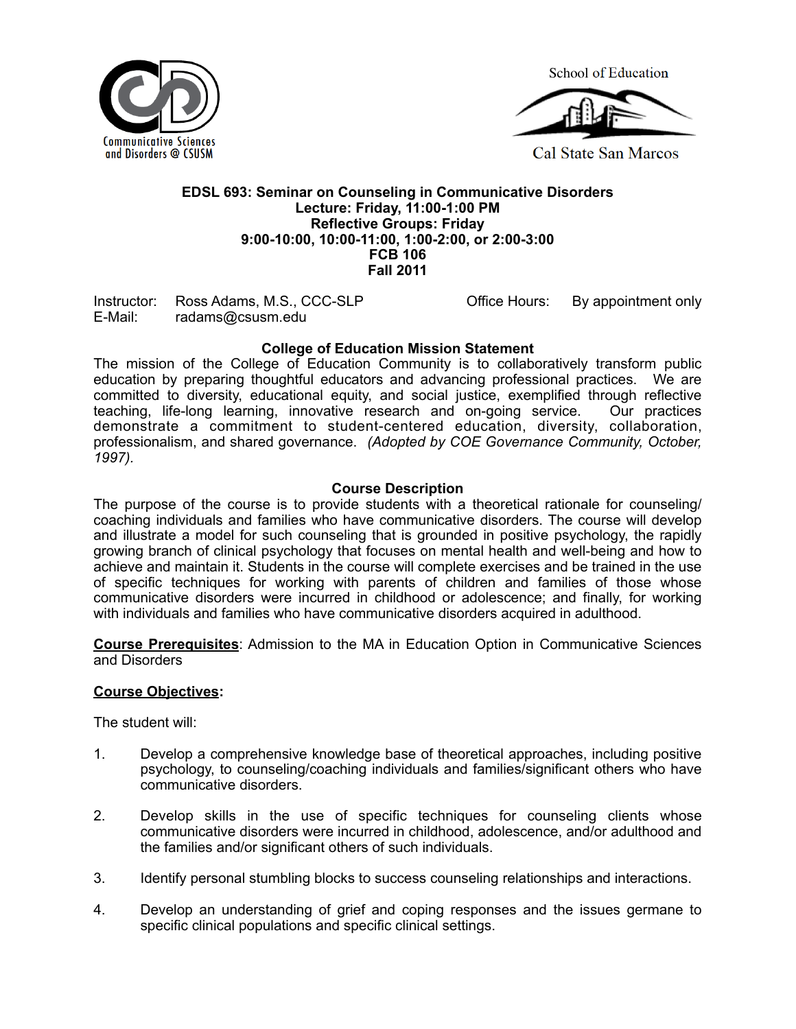

**School of Education** 



**Cal State San Marcos** 

#### **EDSL 693: Seminar on Counseling in Communicative Disorders Lecture: Friday, 11:00-1:00 PM 9:00-10:00, 10:00-11:00, 1:00-2:00, or 2:00-3:00 Reflective Groups: Friday FCB 106 Fall 2011**

 Instructor: Ross Adams, M.S., CCC-SLP Office Hours: By appointment only E-Mail: radams@csusm.edu

## **College of Education Mission Statement**

 The mission of the College of Education Community is to collaboratively transform public education by preparing thoughtful educators and advancing professional practices. We are committed to diversity, educational equity, and social justice, exemplified through reflective teaching, life-long learning, innovative research and on-going service. Our practices demonstrate a commitment to student-centered education, diversity, collaboration, professionalism, and shared governance. *(Adopted by COE Governance Community, October, 1997).* 

#### **Course Description**

 The purpose of the course is to provide students with a theoretical rationale for counseling/ coaching individuals and families who have communicative disorders. The course will develop and illustrate a model for such counseling that is grounded in positive psychology, the rapidly growing branch of clinical psychology that focuses on mental health and well-being and how to achieve and maintain it. Students in the course will complete exercises and be trained in the use of specific techniques for working with parents of children and families of those whose communicative disorders were incurred in childhood or adolescence; and finally, for working with individuals and families who have communicative disorders acquired in adulthood.

 **Course Prerequisites**: Admission to the MA in Education Option in Communicative Sciences and Disorders

#### **Course Objectives:**

The student will:

- 1. Develop a comprehensive knowledge base of theoretical approaches, including positive psychology, to counseling/coaching individuals and families/significant others who have communicative disorders.
- 2. Develop skills in the use of specific techniques for counseling clients whose communicative disorders were incurred in childhood, adolescence, and/or adulthood and the families and/or significant others of such individuals.
- 3. Identify personal stumbling blocks to success counseling relationships and interactions.
- 4. Develop an understanding of grief and coping responses and the issues germane to specific clinical populations and specific clinical settings.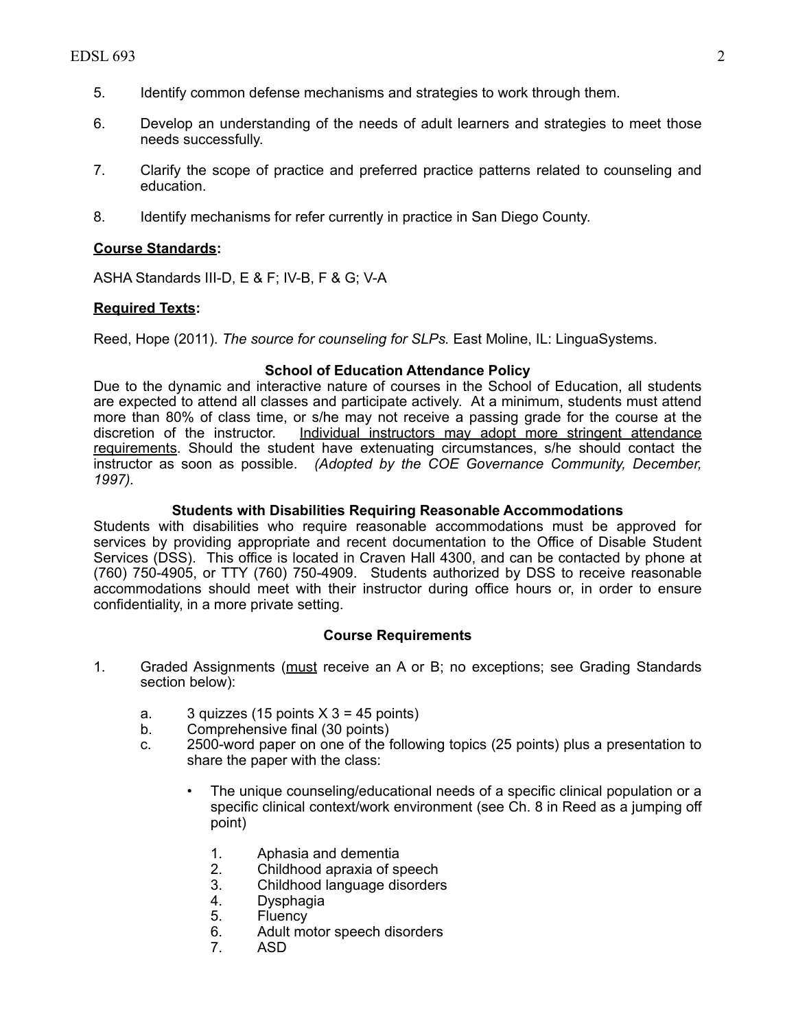- 5. Identify common defense mechanisms and strategies to work through them.
- 6. Develop an understanding of the needs of adult learners and strategies to meet those needs successfully.
- 7. Clarify the scope of practice and preferred practice patterns related to counseling and education.
- 8. Identify mechanisms for refer currently in practice in San Diego County.

#### **Course Standards:**

ASHA Standards III-D, E & F; IV-B, F & G; V-A

## **Required Texts:**

Reed, Hope (2011). *The source for counseling for SLPs.* East Moline, IL: LinguaSystems.

#### **School of Education Attendance Policy**

 Due to the dynamic and interactive nature of courses in the School of Education, all students are expected to attend all classes and participate actively. At a minimum, students must attend more than 80% of class time, or s/he may not receive a passing grade for the course at the discretion of the instructor. requirements. Should the student have extenuating circumstances, s/he should contact the instructor as soon as possible. *(Adopted by the COE Governance Community, December, 1997).* Individual instructors may adopt more stringent attendance

## **Students with Disabilities Requiring Reasonable Accommodations**

 Students with disabilities who require reasonable accommodations must be approved for services by providing appropriate and recent documentation to the Office of Disable Student Services (DSS). This office is located in Craven Hall 4300, and can be contacted by phone at (760) 750-4905, or TTY (760) 750-4909. Students authorized by DSS to receive reasonable accommodations should meet with their instructor during office hours or, in order to ensure confidentiality, in a more private setting.

#### **Course Requirements**

- 1. Graded Assignments (must receive an A or B; no exceptions; see Grading Standards section below):
	- a. 3 quizzes (15 points  $X$  3 = 45 points)
	- b. Comprehensive final (30 points)
	- c. 2500-word paper on one of the following topics (25 points) plus a presentation to share the paper with the class:
		- The unique counseling/educational needs of a specific clinical population or a specific clinical context/work environment (see Ch. 8 in Reed as a jumping off point)
			- 1. Aphasia and dementia
			- 2. Childhood apraxia of speech
			- 3. Childhood language disorders
			- 4. Dysphagia
			- 5. Fluency<br>6. Adult mo
			- Adult motor speech disorders
			- 7. ASD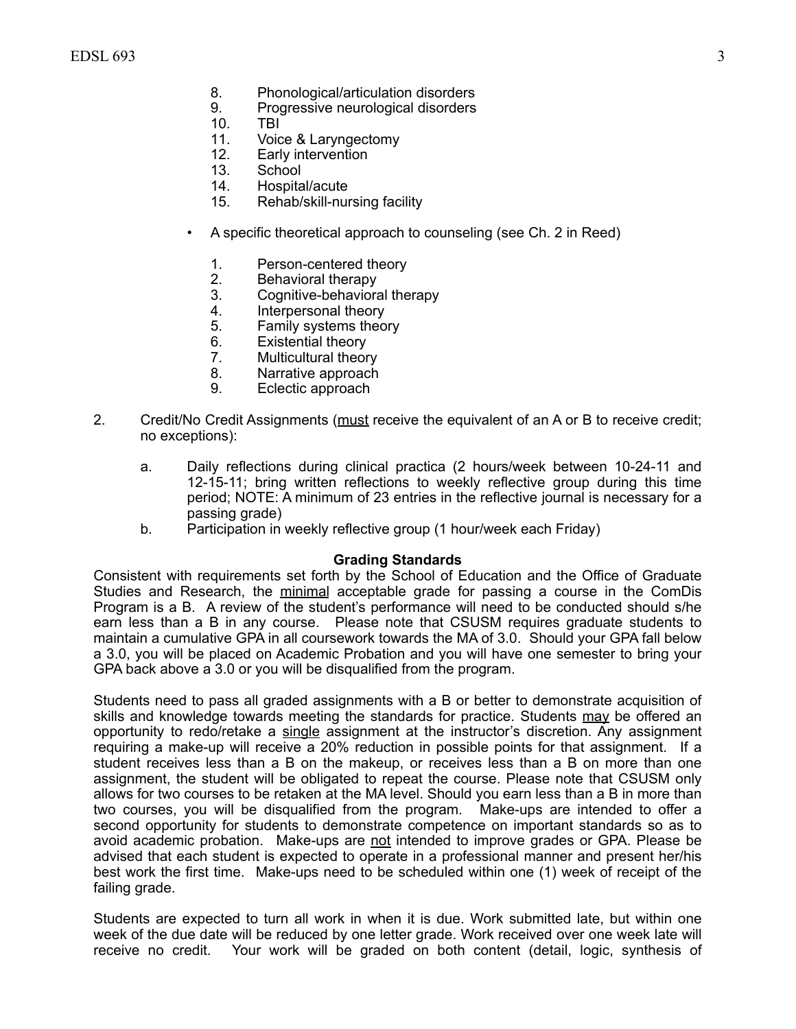- 8. Phonological/articulation disorders<br>9. Progressive neurological disorders
	- Progressive neurological disorders
- 10. TBI
- 11. Voice & Laryngectomy
- 12. Early intervention<br>13. School
- 13. School<br>14. Hospita
- 14. Hospital/acute<br>15. Rehab/skill-nui
- Rehab/skill-nursing facility
- • A specific theoretical approach to counseling (see Ch. 2 in Reed)
	- 1. Person-centered theory<br>2. Behavioral therapy
	- 2. Behavioral therapy<br>3. Cognitive-behaviora
	- Cognitive-behavioral therapy
	- 4. Interpersonal theory
	- 5. Family systems theory
	- 6. Existential theory
	- 7. Multicultural theory
	- 8. Narrative approach
	- 9. Eclectic approach
- 2. Credit/No Credit Assignments (must receive the equivalent of an A or B to receive credit; no exceptions):
	- a. Daily reflections during clinical practica (2 hours/week between 10-24-11 and 12-15-11; bring written reflections to weekly reflective group during this time period; NOTE: A minimum of 23 entries in the reflective journal is necessary for a passing grade)
	- b. Participation in weekly reflective group (1 hour/week each Friday)

#### **Grading Standards**

 Consistent with requirements set forth by the School of Education and the Office of Graduate Studies and Research, the minimal acceptable grade for passing a course in the ComDis Program is a B. A review of the student's performance will need to be conducted should s/he earn less than a B in any course. Please note that CSUSM requires graduate students to maintain a cumulative GPA in all coursework towards the MA of 3.0. Should your GPA fall below a 3.0, you will be placed on Academic Probation and you will have one semester to bring your GPA back above a 3.0 or you will be disqualified from the program.

 Students need to pass all graded assignments with a B or better to demonstrate acquisition of skills and knowledge towards meeting the standards for practice. Students may be offered an opportunity to redo/retake a single assignment at the instructor's discretion. Any assignment requiring a make-up will receive a 20% reduction in possible points for that assignment. If a student receives less than a B on the makeup, or receives less than a B on more than one assignment, the student will be obligated to repeat the course. Please note that CSUSM only allows for two courses to be retaken at the MA level. Should you earn less than a B in more than two courses, you will be disqualified from the program. Make-ups are intended to offer a second opportunity for students to demonstrate competence on important standards so as to avoid academic probation. Make-ups are not intended to improve grades or GPA. Please be advised that each student is expected to operate in a professional manner and present her/his best work the first time. Make-ups need to be scheduled within one (1) week of receipt of the failing grade.

 Students are expected to turn all work in when it is due. Work submitted late, but within one week of the due date will be reduced by one letter grade. Work received over one week late will receive no credit. Your work will be graded on both content (detail, logic, synthesis of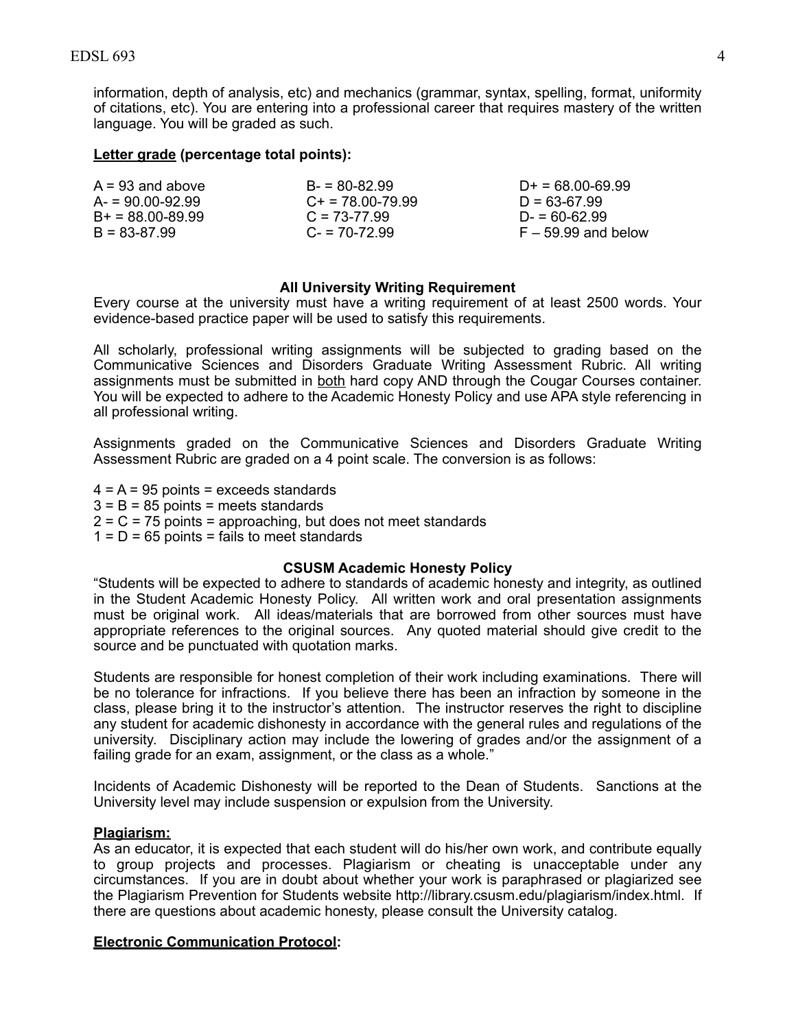information, depth of analysis, etc) and mechanics (grammar, syntax, spelling, format, uniformity of citations, etc). You are entering into a professional career that requires mastery of the written language. You will be graded as such.

## **Letter grade (percentage total points):**

| $A = 93$ and above   | $B = 80 - 82.99$      | $D+ = 68.00-69.99$    |
|----------------------|-----------------------|-----------------------|
| $A = 90.00 - 92.99$  | $C_{+}$ = 78.00-79.99 | $D = 63-67.99$        |
| $B+ = 88.00 - 89.99$ | $C = 73-77.99$        | $D = 60-62.99$        |
| $B = 83-87.99$       | $C = 70-72.99$        | $F - 59.99$ and below |

## **All University Writing Requirement**

 Every course at the university must have a writing requirement of at least 2500 words. Your evidence-based practice paper will be used to satisfy this requirements.

 All scholarly, professional writing assignments will be subjected to grading based on the Communicative Sciences and Disorders Graduate Writing Assessment Rubric. All writing assignments must be submitted in both hard copy AND through the Cougar Courses container. You will be expected to adhere to the Academic Honesty Policy and use APA style referencing in all professional writing.

 Assignments graded on the Communicative Sciences and Disorders Graduate Writing Assessment Rubric are graded on a 4 point scale. The conversion is as follows:

 4 = A = 95 points = exceeds standards 3 = B = 85 points = meets standards

2 = C = 75 points = approaching, but does not meet standards

 $1 = D = 65$  points = fails to meet standards

#### **CSUSM Academic Honesty Policy**

 "Students will be expected to adhere to standards of academic honesty and integrity, as outlined in the Student Academic Honesty Policy. All written work and oral presentation assignments must be original work. All ideas/materials that are borrowed from other sources must have appropriate references to the original sources. Any quoted material should give credit to the source and be punctuated with quotation marks.

 Students are responsible for honest completion of their work including examinations. There will be no tolerance for infractions. If you believe there has been an infraction by someone in the class, please bring it to the instructor's attention. The instructor reserves the right to discipline any student for academic dishonesty in accordance with the general rules and regulations of the university. Disciplinary action may include the lowering of grades and/or the assignment of a failing grade for an exam, assignment, or the class as a whole."

 Incidents of Academic Dishonesty will be reported to the Dean of Students. Sanctions at the University level may include suspension or expulsion from the University.

#### **Plagiarism:**

 As an educator, it is expected that each student will do his/her own work, and contribute equally to group projects and processes. Plagiarism or cheating is unacceptable under any circumstances. If you are in doubt about whether your work is paraphrased or plagiarized see the Plagiarism Prevention for Students website http://library.csusm.edu/plagiarism/index.html. If there are questions about academic honesty, please consult the University catalog.

#### **Electronic Communication Protocol:**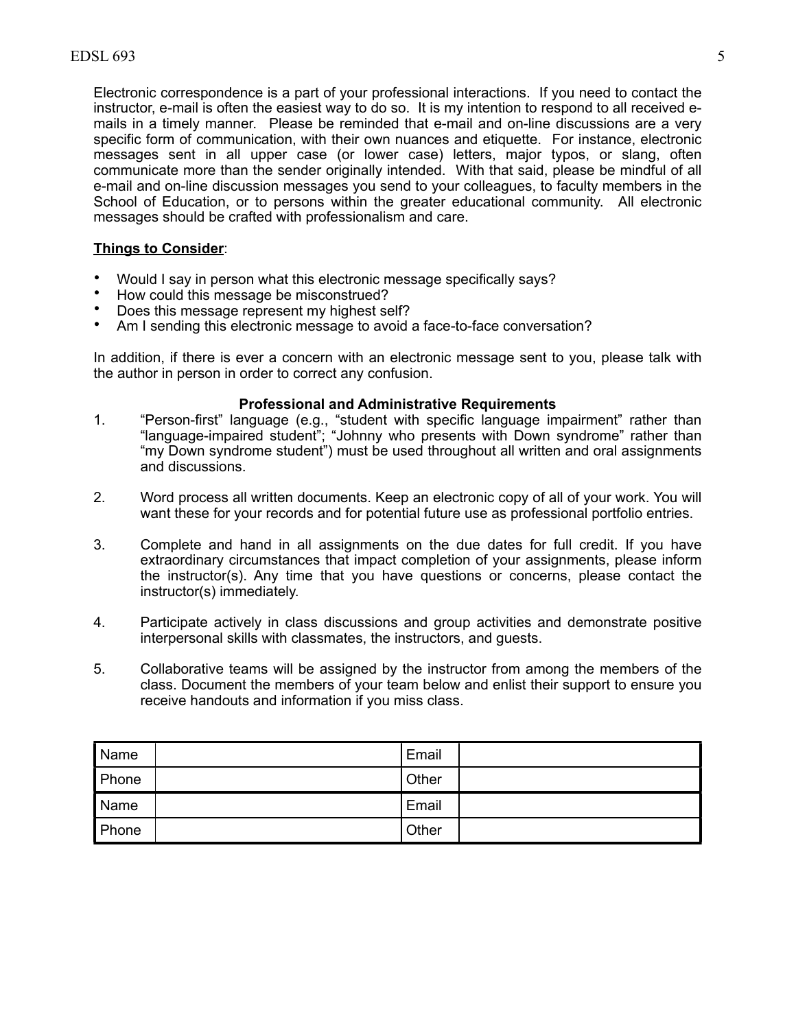Electronic correspondence is a part of your professional interactions. If you need to contact the instructor, e-mail is often the easiest way to do so. It is my intention to respond to all received e- mails in a timely manner. Please be reminded that e-mail and on-line discussions are a very specific form of communication, with their own nuances and etiquette. For instance, electronic messages sent in all upper case (or lower case) letters, major typos, or slang, often communicate more than the sender originally intended. With that said, please be mindful of all e-mail and on-line discussion messages you send to your colleagues, to faculty members in the School of Education, or to persons within the greater educational community. All electronic messages should be crafted with professionalism and care.

# **Things to Consider**:

- Would I say in person what this electronic message specifically says?
- How could this message be misconstrued?
- Does this message represent my highest self?
- Am I sending this electronic message to avoid a face-to-face conversation?

 In addition, if there is ever a concern with an electronic message sent to you, please talk with the author in person in order to correct any confusion.

#### **Professional and Administrative Requirements**

- "my Down syndrome student") must be used throughout all written and oral assignments 1. "Person-first" language (e.g., "student with specific language impairment" rather than "language-impaired student"; "Johnny who presents with Down syndrome" rather than and discussions.
- 2. Word process all written documents. Keep an electronic copy of all of your work. You will want these for your records and for potential future use as professional portfolio entries.
- 3. Complete and hand in all assignments on the due dates for full credit. If you have extraordinary circumstances that impact completion of your assignments, please inform the instructor(s). Any time that you have questions or concerns, please contact the instructor(s) immediately.
- 4. Participate actively in class discussions and group activities and demonstrate positive interpersonal skills with classmates, the instructors, and guests.
- 5. Collaborative teams will be assigned by the instructor from among the members of the class. Document the members of your team below and enlist their support to ensure you receive handouts and information if you miss class.

| Name  | l Email |  |
|-------|---------|--|
| Phone | Other   |  |
| Name  | Email   |  |
| Phone | Other   |  |